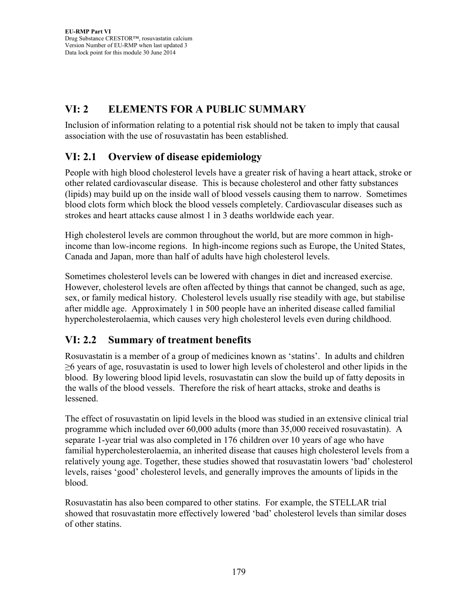# **VI: 2 ELEMENTS FOR A PUBLIC SUMMARY**

Inclusion of information relating to a potential risk should not be taken to imply that causal association with the use of rosuvastatin has been established.

# **VI: 2.1 Overview of disease epidemiology**

People with high blood cholesterol levels have a greater risk of having a heart attack, stroke or other related cardiovascular disease. This is because cholesterol and other fatty substances (lipids) may build up on the inside wall of blood vessels causing them to narrow. Sometimes blood clots form which block the blood vessels completely. Cardiovascular diseases such as strokes and heart attacks cause almost 1 in 3 deaths worldwide each year.

High cholesterol levels are common throughout the world, but are more common in highincome than low-income regions. In high-income regions such as Europe, the United States, Canada and Japan, more than half of adults have high cholesterol levels.

Sometimes cholesterol levels can be lowered with changes in diet and increased exercise. However, cholesterol levels are often affected by things that cannot be changed, such as age, sex, or family medical history. Cholesterol levels usually rise steadily with age, but stabilise after middle age. Approximately 1 in 500 people have an inherited disease called familial hypercholesterolaemia, which causes very high cholesterol levels even during childhood.

## **VI: 2.2 Summary of treatment benefits**

Rosuvastatin is a member of a group of medicines known as 'statins'. In adults and children  $\geq$ 6 years of age, rosuvastatin is used to lower high levels of cholesterol and other lipids in the blood. By lowering blood lipid levels, rosuvastatin can slow the build up of fatty deposits in the walls of the blood vessels. Therefore the risk of heart attacks, stroke and deaths is lessened.

The effect of rosuvastatin on lipid levels in the blood was studied in an extensive clinical trial programme which included over 60,000 adults (more than 35,000 received rosuvastatin). A separate 1-year trial was also completed in 176 children over 10 years of age who have familial hypercholesterolaemia, an inherited disease that causes high cholesterol levels from a relatively young age. Together, these studies showed that rosuvastatin lowers 'bad' cholesterol levels, raises 'good' cholesterol levels, and generally improves the amounts of lipids in the blood.

Rosuvastatin has also been compared to other statins. For example, the STELLAR trial showed that rosuvastatin more effectively lowered 'bad' cholesterol levels than similar doses of other statins.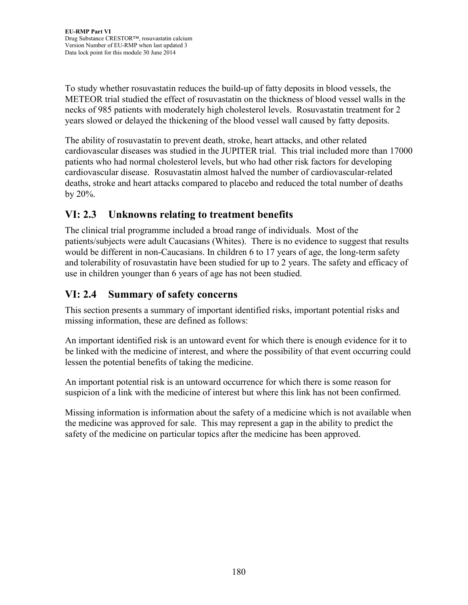To study whether rosuvastatin reduces the build-up of fatty deposits in blood vessels, the METEOR trial studied the effect of rosuvastatin on the thickness of blood vessel walls in the necks of 985 patients with moderately high cholesterol levels. Rosuvastatin treatment for 2 years slowed or delayed the thickening of the blood vessel wall caused by fatty deposits.

The ability of rosuvastatin to prevent death, stroke, heart attacks, and other related cardiovascular diseases was studied in the JUPITER trial. This trial included more than 17000 patients who had normal cholesterol levels, but who had other risk factors for developing cardiovascular disease. Rosuvastatin almost halved the number of cardiovascular-related deaths, stroke and heart attacks compared to placebo and reduced the total number of deaths by 20%.

## **VI: 2.3 Unknowns relating to treatment benefits**

The clinical trial programme included a broad range of individuals. Most of the patients/subjects were adult Caucasians (Whites). There is no evidence to suggest that results would be different in non-Caucasians. In children 6 to 17 years of age, the long-term safety and tolerability of rosuvastatin have been studied for up to 2 years. The safety and efficacy of use in children younger than 6 years of age has not been studied.

## **VI: 2.4 Summary of safety concerns**

This section presents a summary of important identified risks, important potential risks and missing information, these are defined as follows:

An important identified risk is an untoward event for which there is enough evidence for it to be linked with the medicine of interest, and where the possibility of that event occurring could lessen the potential benefits of taking the medicine.

An important potential risk is an untoward occurrence for which there is some reason for suspicion of a link with the medicine of interest but where this link has not been confirmed.

Missing information is information about the safety of a medicine which is not available when the medicine was approved for sale. This may represent a gap in the ability to predict the safety of the medicine on particular topics after the medicine has been approved.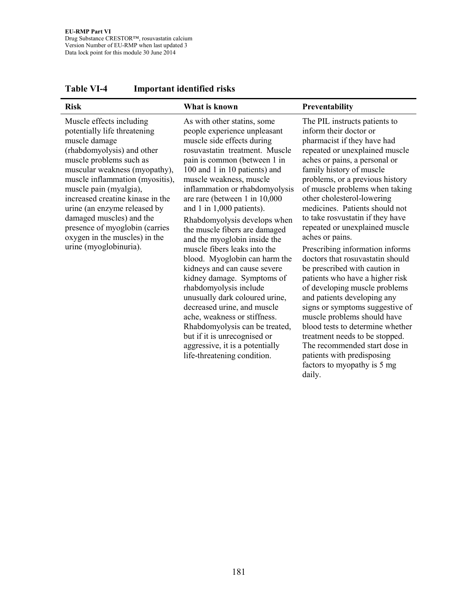| <b>Risk</b>                                                                                                                                                                                                                                                                                                                                                                                                                   | What is known                                                                                                                                                                                                                                                                                                                                                                                                                                                                                                                                                                                                                                                                                                                                                                                                          | Preventability                                                                                                                                                                                                                                                                                                                                                                                                                                                                                                                                                                                                                                                                                                                                                                                                                                                       |
|-------------------------------------------------------------------------------------------------------------------------------------------------------------------------------------------------------------------------------------------------------------------------------------------------------------------------------------------------------------------------------------------------------------------------------|------------------------------------------------------------------------------------------------------------------------------------------------------------------------------------------------------------------------------------------------------------------------------------------------------------------------------------------------------------------------------------------------------------------------------------------------------------------------------------------------------------------------------------------------------------------------------------------------------------------------------------------------------------------------------------------------------------------------------------------------------------------------------------------------------------------------|----------------------------------------------------------------------------------------------------------------------------------------------------------------------------------------------------------------------------------------------------------------------------------------------------------------------------------------------------------------------------------------------------------------------------------------------------------------------------------------------------------------------------------------------------------------------------------------------------------------------------------------------------------------------------------------------------------------------------------------------------------------------------------------------------------------------------------------------------------------------|
| Muscle effects including<br>potentially life threatening<br>muscle damage<br>(rhabdomyolysis) and other<br>muscle problems such as<br>muscular weakness (myopathy),<br>muscle inflammation (myositis),<br>muscle pain (myalgia),<br>increased creatine kinase in the<br>urine (an enzyme released by<br>damaged muscles) and the<br>presence of myoglobin (carries<br>oxygen in the muscles) in the<br>urine (myoglobinuria). | As with other statins, some<br>people experience unpleasant<br>muscle side effects during<br>rosuvastatin treatment. Muscle<br>pain is common (between 1 in<br>100 and 1 in 10 patients) and<br>muscle weakness, muscle<br>inflammation or rhabdomyolysis<br>are rare (between 1 in 10,000<br>and 1 in 1,000 patients).<br>Rhabdomyolysis develops when<br>the muscle fibers are damaged<br>and the myoglobin inside the<br>muscle fibers leaks into the<br>blood. Myoglobin can harm the<br>kidneys and can cause severe<br>kidney damage. Symptoms of<br>rhabdomyolysis include<br>unusually dark coloured urine,<br>decreased urine, and muscle<br>ache, weakness or stiffness.<br>Rhabdomyolysis can be treated,<br>but if it is unrecognised or<br>aggressive, it is a potentially<br>life-threatening condition. | The PIL instructs patients to<br>inform their doctor or<br>pharmacist if they have had<br>repeated or unexplained muscle<br>aches or pains, a personal or<br>family history of muscle<br>problems, or a previous history<br>of muscle problems when taking<br>other cholesterol-lowering<br>medicines. Patients should not<br>to take rosvustatin if they have<br>repeated or unexplained muscle<br>aches or pains.<br>Prescribing information informs<br>doctors that rosuvastatin should<br>be prescribed with caution in<br>patients who have a higher risk<br>of developing muscle problems<br>and patients developing any<br>signs or symptoms suggestive of<br>muscle problems should have<br>blood tests to determine whether<br>treatment needs to be stopped.<br>The recommended start dose in<br>patients with predisposing<br>factors to myopathy is 5 mg |

daily.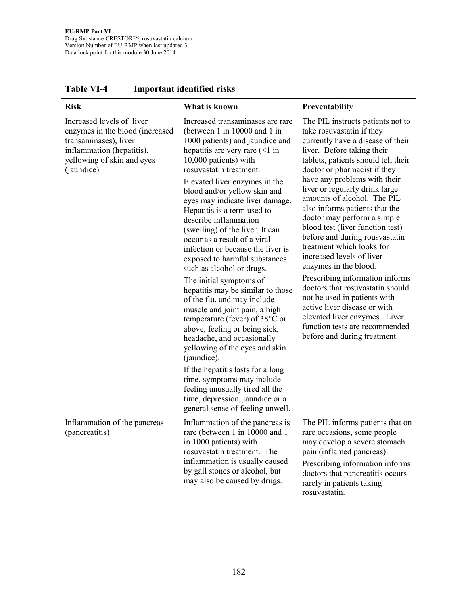| <b>Risk</b>                                                                                                                                                    | What is known                                                                                                                                                                                                                                                                                                                                                                                                                                                         | Preventability                                                                                                                                                                                                                                                                                                          |
|----------------------------------------------------------------------------------------------------------------------------------------------------------------|-----------------------------------------------------------------------------------------------------------------------------------------------------------------------------------------------------------------------------------------------------------------------------------------------------------------------------------------------------------------------------------------------------------------------------------------------------------------------|-------------------------------------------------------------------------------------------------------------------------------------------------------------------------------------------------------------------------------------------------------------------------------------------------------------------------|
| Increased levels of liver<br>enzymes in the blood (increased<br>transaminases), liver<br>inflammation (hepatitis),<br>yellowing of skin and eyes<br>(jaundice) | Increased transaminases are rare<br>(between 1 in 10000 and 1 in<br>1000 patients) and jaundice and<br>hepatitis are very rare $($ 1) in<br>10,000 patients) with<br>rosuvastatin treatment.                                                                                                                                                                                                                                                                          | The PIL instructs patients not to<br>take rosuvastatin if they<br>currently have a disease of their<br>liver. Before taking their<br>tablets, patients should tell their<br>doctor or pharmacist if they                                                                                                                |
|                                                                                                                                                                | Elevated liver enzymes in the<br>blood and/or yellow skin and<br>eyes may indicate liver damage.<br>Hepatitis is a term used to<br>describe inflammation<br>(swelling) of the liver. It can<br>occur as a result of a viral<br>infection or because the liver is<br>exposed to harmful substances<br>such as alcohol or drugs.                                                                                                                                        | have any problems with their<br>liver or regularly drink large<br>amounts of alcohol. The PIL<br>also informs patients that the<br>doctor may perform a simple<br>blood test (liver function test)<br>before and during rousvastatin<br>treatment which looks for<br>increased levels of liver<br>enzymes in the blood. |
|                                                                                                                                                                | The initial symptoms of<br>hepatitis may be similar to those<br>of the flu, and may include<br>muscle and joint pain, a high<br>temperature (fever) of $38^{\circ}$ C or<br>above, feeling or being sick,<br>headache, and occasionally<br>yellowing of the eyes and skin<br>(jaundice).<br>If the hepatitis lasts for a long<br>time, symptoms may include<br>feeling unusually tired all the<br>time, depression, jaundice or a<br>general sense of feeling unwell. | Prescribing information informs<br>doctors that rosuvastatin should<br>not be used in patients with<br>active liver disease or with<br>elevated liver enzymes. Liver<br>function tests are recommended<br>before and during treatment.                                                                                  |
| Inflammation of the pancreas<br>(pancreatitis)                                                                                                                 | Inflammation of the pancreas is<br>rare (between 1 in 10000 and 1<br>in 1000 patients) with<br>rosuvastatin treatment. The<br>inflammation is usually caused<br>by gall stones or alcohol, but<br>may also be caused by drugs.                                                                                                                                                                                                                                        | The PIL informs patients that on<br>rare occasions, some people<br>may develop a severe stomach<br>pain (inflamed pancreas).<br>Prescribing information informs<br>doctors that pancreatitis occurs<br>rarely in patients taking<br>rosuvastatin.                                                                       |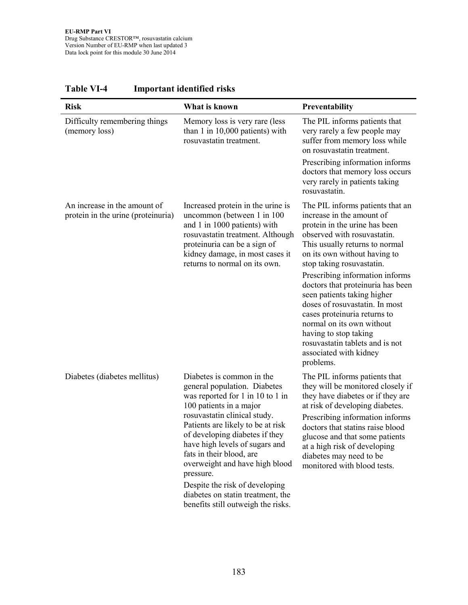| <b>Risk</b>                                                        | What is known                                                                                                                                                                                                                                                                                                                                                                  | Preventability                                                                                                                                                                                                                                                                                                                                |
|--------------------------------------------------------------------|--------------------------------------------------------------------------------------------------------------------------------------------------------------------------------------------------------------------------------------------------------------------------------------------------------------------------------------------------------------------------------|-----------------------------------------------------------------------------------------------------------------------------------------------------------------------------------------------------------------------------------------------------------------------------------------------------------------------------------------------|
| Difficulty remembering things<br>(memory loss)                     | Memory loss is very rare (less<br>than 1 in 10,000 patients) with<br>rosuvastatin treatment.                                                                                                                                                                                                                                                                                   | The PIL informs patients that<br>very rarely a few people may<br>suffer from memory loss while<br>on rosuvastatin treatment.                                                                                                                                                                                                                  |
|                                                                    |                                                                                                                                                                                                                                                                                                                                                                                | Prescribing information informs<br>doctors that memory loss occurs<br>very rarely in patients taking<br>rosuvastatin.                                                                                                                                                                                                                         |
| An increase in the amount of<br>protein in the urine (proteinuria) | Increased protein in the urine is<br>uncommon (between 1 in 100<br>and 1 in 1000 patients) with<br>rosuvastatin treatment. Although<br>proteinuria can be a sign of<br>kidney damage, in most cases it<br>returns to normal on its own.                                                                                                                                        | The PIL informs patients that an<br>increase in the amount of<br>protein in the urine has been<br>observed with rosuvastatin.<br>This usually returns to normal<br>on its own without having to<br>stop taking rosuvastatin.                                                                                                                  |
|                                                                    |                                                                                                                                                                                                                                                                                                                                                                                | Prescribing information informs<br>doctors that proteinuria has been<br>seen patients taking higher<br>doses of rosuvastatin. In most<br>cases proteinuria returns to<br>normal on its own without<br>having to stop taking<br>rosuvastatin tablets and is not<br>associated with kidney<br>problems.                                         |
| Diabetes (diabetes mellitus)                                       | Diabetes is common in the<br>general population. Diabetes<br>was reported for 1 in 10 to 1 in<br>100 patients in a major<br>rosuvastatin clinical study.<br>Patients are likely to be at risk<br>of developing diabetes if they<br>have high levels of sugars and<br>fats in their blood, are<br>overweight and have high blood<br>pressure.<br>Despite the risk of developing | The PIL informs patients that<br>they will be monitored closely if<br>they have diabetes or if they are<br>at risk of developing diabetes.<br>Prescribing information informs<br>doctors that statins raise blood<br>glucose and that some patients<br>at a high risk of developing<br>diabetes may need to be<br>monitored with blood tests. |
|                                                                    | diabetes on statin treatment, the<br>benefits still outweigh the risks.                                                                                                                                                                                                                                                                                                        |                                                                                                                                                                                                                                                                                                                                               |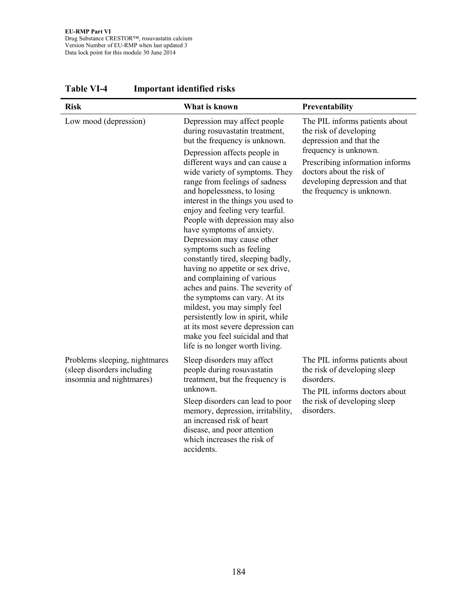| <b>Risk</b>                                                                             | What is known                                                                                                                                                                                                                                                                                                                                                                                                                                                                                                                                                                                                                                                                                                                    | Preventability                                                                                                                                              |
|-----------------------------------------------------------------------------------------|----------------------------------------------------------------------------------------------------------------------------------------------------------------------------------------------------------------------------------------------------------------------------------------------------------------------------------------------------------------------------------------------------------------------------------------------------------------------------------------------------------------------------------------------------------------------------------------------------------------------------------------------------------------------------------------------------------------------------------|-------------------------------------------------------------------------------------------------------------------------------------------------------------|
| Low mood (depression)                                                                   | Depression may affect people<br>during rosuvastatin treatment,<br>but the frequency is unknown.                                                                                                                                                                                                                                                                                                                                                                                                                                                                                                                                                                                                                                  | The PIL informs patients about<br>the risk of developing<br>depression and that the                                                                         |
|                                                                                         | Depression affects people in<br>different ways and can cause a<br>wide variety of symptoms. They<br>range from feelings of sadness<br>and hopelessness, to losing<br>interest in the things you used to<br>enjoy and feeling very tearful.<br>People with depression may also<br>have symptoms of anxiety.<br>Depression may cause other<br>symptoms such as feeling<br>constantly tired, sleeping badly,<br>having no appetite or sex drive,<br>and complaining of various<br>aches and pains. The severity of<br>the symptoms can vary. At its<br>mildest, you may simply feel<br>persistently low in spirit, while<br>at its most severe depression can<br>make you feel suicidal and that<br>life is no longer worth living. | frequency is unknown.<br>Prescribing information informs<br>doctors about the risk of<br>developing depression and that<br>the frequency is unknown.        |
| Problems sleeping, nightmares<br>(sleep disorders including<br>insomnia and nightmares) | Sleep disorders may affect<br>people during rosuvastatin<br>treatment, but the frequency is<br>unknown.<br>Sleep disorders can lead to poor<br>memory, depression, irritability,<br>an increased risk of heart<br>disease, and poor attention<br>which increases the risk of<br>accidents.                                                                                                                                                                                                                                                                                                                                                                                                                                       | The PIL informs patients about<br>the risk of developing sleep<br>disorders.<br>The PIL informs doctors about<br>the risk of developing sleep<br>disorders. |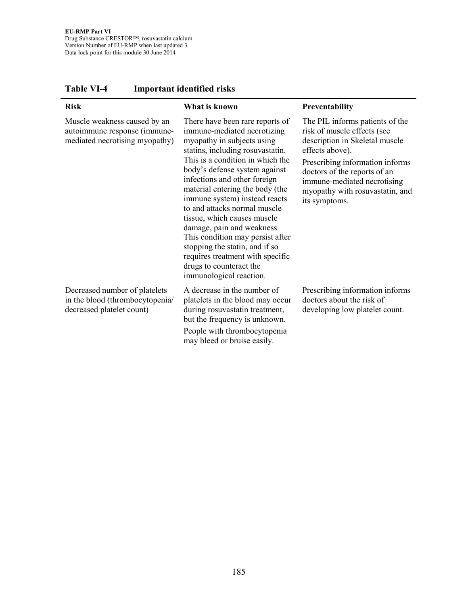| <b>Risk</b>                                                                                    | What is known                                                                                                                                                                                                                                                                                                                                                                                                                                                                                                                                                          | Preventability                                                                                                                                                                                                                                                            |
|------------------------------------------------------------------------------------------------|------------------------------------------------------------------------------------------------------------------------------------------------------------------------------------------------------------------------------------------------------------------------------------------------------------------------------------------------------------------------------------------------------------------------------------------------------------------------------------------------------------------------------------------------------------------------|---------------------------------------------------------------------------------------------------------------------------------------------------------------------------------------------------------------------------------------------------------------------------|
| Muscle weakness caused by an<br>autoimmune response (immune-<br>mediated necrotising myopathy) | There have been rare reports of<br>immune-mediated necrotizing<br>myopathy in subjects using<br>statins, including rosuvastatin.<br>This is a condition in which the<br>body's defense system against<br>infections and other foreign<br>material entering the body (the<br>immune system) instead reacts<br>to and attacks normal muscle<br>tissue, which causes muscle<br>damage, pain and weakness.<br>This condition may persist after<br>stopping the statin, and if so<br>requires treatment with specific<br>drugs to counteract the<br>immunological reaction. | The PIL informs patients of the<br>risk of muscle effects (see<br>description in Skeletal muscle<br>effects above).<br>Prescribing information informs<br>doctors of the reports of an<br>immune-mediated necrotising<br>myopathy with rosuvastatin, and<br>its symptoms. |
| Decreased number of platelets<br>in the blood (thrombocytopenia/<br>decreased platelet count)  | A decrease in the number of<br>platelets in the blood may occur<br>during rosuvastatin treatment,<br>but the frequency is unknown.<br>People with thrombocytopenia<br>may bleed or bruise easily.                                                                                                                                                                                                                                                                                                                                                                      | Prescribing information informs<br>doctors about the risk of<br>developing low platelet count.                                                                                                                                                                            |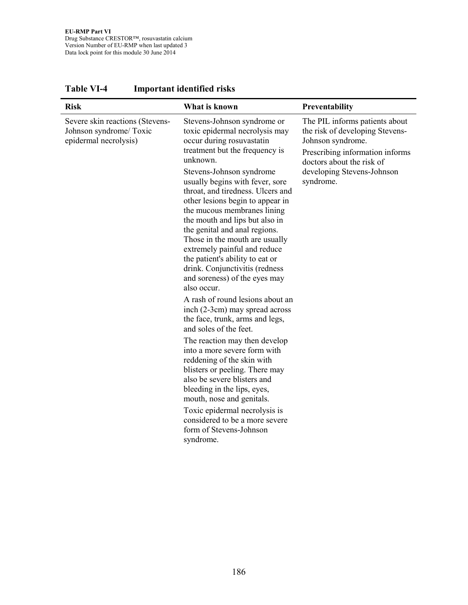| <b>Risk</b>                                                                         | What is known                                                                                                                                                                                                                                                                                                                                                                                                                                                                                                                                                             | Preventability                                                                                                                                                                                    |
|-------------------------------------------------------------------------------------|---------------------------------------------------------------------------------------------------------------------------------------------------------------------------------------------------------------------------------------------------------------------------------------------------------------------------------------------------------------------------------------------------------------------------------------------------------------------------------------------------------------------------------------------------------------------------|---------------------------------------------------------------------------------------------------------------------------------------------------------------------------------------------------|
| Severe skin reactions (Stevens-<br>Johnson syndrome/ Toxic<br>epidermal necrolysis) | Stevens-Johnson syndrome or<br>toxic epidermal necrolysis may<br>occur during rosuvastatin<br>treatment but the frequency is<br>unknown.<br>Stevens-Johnson syndrome<br>usually begins with fever, sore<br>throat, and tiredness. Ulcers and<br>other lesions begin to appear in<br>the mucous membranes lining<br>the mouth and lips but also in<br>the genital and anal regions.<br>Those in the mouth are usually<br>extremely painful and reduce<br>the patient's ability to eat or<br>drink. Conjunctivitis (redness<br>and soreness) of the eyes may<br>also occur. | The PIL informs patients about<br>the risk of developing Stevens-<br>Johnson syndrome.<br>Prescribing information informs<br>doctors about the risk of<br>developing Stevens-Johnson<br>syndrome. |
|                                                                                     | A rash of round lesions about an<br>inch (2-3cm) may spread across<br>the face, trunk, arms and legs,<br>and soles of the feet.                                                                                                                                                                                                                                                                                                                                                                                                                                           |                                                                                                                                                                                                   |
|                                                                                     | The reaction may then develop<br>into a more severe form with<br>reddening of the skin with<br>blisters or peeling. There may<br>also be severe blisters and<br>bleeding in the lips, eyes,<br>mouth, nose and genitals.<br>Toxic epidermal necrolysis is<br>considered to be a more severe<br>form of Stevens-Johnson<br>syndrome.                                                                                                                                                                                                                                       |                                                                                                                                                                                                   |

**Table VI-4 Important identified risks**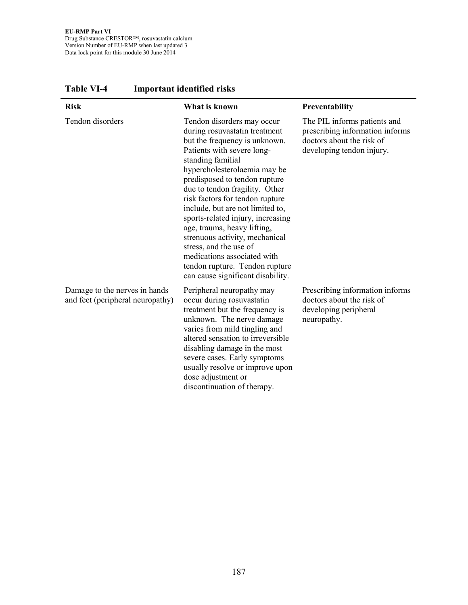| <b>Risk</b>                                                       | What is known                                                                                                                                                                                                                                                                                                                                                                                                                                                                                                                                                   | Preventability                                                                                                            |
|-------------------------------------------------------------------|-----------------------------------------------------------------------------------------------------------------------------------------------------------------------------------------------------------------------------------------------------------------------------------------------------------------------------------------------------------------------------------------------------------------------------------------------------------------------------------------------------------------------------------------------------------------|---------------------------------------------------------------------------------------------------------------------------|
| Tendon disorders                                                  | Tendon disorders may occur<br>during rosuvastatin treatment<br>but the frequency is unknown.<br>Patients with severe long-<br>standing familial<br>hypercholesterolaemia may be<br>predisposed to tendon rupture<br>due to tendon fragility. Other<br>risk factors for tendon rupture<br>include, but are not limited to,<br>sports-related injury, increasing<br>age, trauma, heavy lifting,<br>strenuous activity, mechanical<br>stress, and the use of<br>medications associated with<br>tendon rupture. Tendon rupture<br>can cause significant disability. | The PIL informs patients and<br>prescribing information informs<br>doctors about the risk of<br>developing tendon injury. |
| Damage to the nerves in hands<br>and feet (peripheral neuropathy) | Peripheral neuropathy may<br>occur during rosuvastatin<br>treatment but the frequency is<br>unknown. The nerve damage<br>varies from mild tingling and<br>altered sensation to irreversible<br>disabling damage in the most<br>severe cases. Early symptoms<br>usually resolve or improve upon<br>dose adjustment or<br>discontinuation of therapy.                                                                                                                                                                                                             | Prescribing information informs<br>doctors about the risk of<br>developing peripheral<br>neuropathy.                      |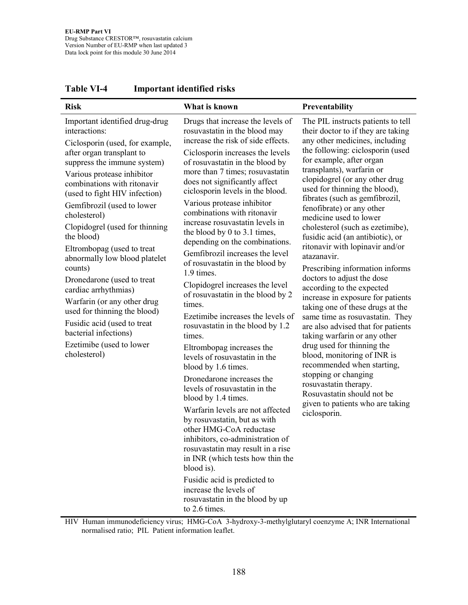| <b>Risk</b>                                                                                                                                                                                                                                                                                                                                                                                                                                                                                                                                                                                                                                   | What is known                                                                                                                                                                                                                                                                                                                                                                                                                                                                                                                                                                                                                                                                                                                                                                                                                                                                                                                                                                                                                                                                                                                                                                                                                        | Preventability                                                                                                                                                                                                                                                                                                                                                                                                                                                                                                                                                                                                                                                                                                                                                                                                                                                                                                                                                                                              |
|-----------------------------------------------------------------------------------------------------------------------------------------------------------------------------------------------------------------------------------------------------------------------------------------------------------------------------------------------------------------------------------------------------------------------------------------------------------------------------------------------------------------------------------------------------------------------------------------------------------------------------------------------|--------------------------------------------------------------------------------------------------------------------------------------------------------------------------------------------------------------------------------------------------------------------------------------------------------------------------------------------------------------------------------------------------------------------------------------------------------------------------------------------------------------------------------------------------------------------------------------------------------------------------------------------------------------------------------------------------------------------------------------------------------------------------------------------------------------------------------------------------------------------------------------------------------------------------------------------------------------------------------------------------------------------------------------------------------------------------------------------------------------------------------------------------------------------------------------------------------------------------------------|-------------------------------------------------------------------------------------------------------------------------------------------------------------------------------------------------------------------------------------------------------------------------------------------------------------------------------------------------------------------------------------------------------------------------------------------------------------------------------------------------------------------------------------------------------------------------------------------------------------------------------------------------------------------------------------------------------------------------------------------------------------------------------------------------------------------------------------------------------------------------------------------------------------------------------------------------------------------------------------------------------------|
| Important identified drug-drug<br>interactions:<br>Ciclosporin (used, for example,<br>after organ transplant to<br>suppress the immune system)<br>Various protease inhibitor<br>combinations with ritonavir<br>(used to fight HIV infection)<br>Gemfibrozil (used to lower<br>cholesterol)<br>Clopidogrel (used for thinning<br>the blood)<br>Eltrombopag (used to treat<br>abnormally low blood platelet<br>counts)<br>Dronedarone (used to treat<br>cardiac arrhythmias)<br>Warfarin (or any other drug<br>used for thinning the blood)<br>Fusidic acid (used to treat<br>bacterial infections)<br>Ezetimibe (used to lower<br>cholesterol) | Drugs that increase the levels of<br>rosuvastatin in the blood may<br>increase the risk of side effects.<br>Ciclosporin increases the levels<br>of rosuvastatin in the blood by<br>more than 7 times; rosuvastatin<br>does not significantly affect<br>ciclosporin levels in the blood.<br>Various protease inhibitor<br>combinations with ritonavir<br>increase rosuvastatin levels in<br>the blood by 0 to 3.1 times,<br>depending on the combinations.<br>Gemfibrozil increases the level<br>of rosuvastatin in the blood by<br>1.9 times.<br>Clopidogrel increases the level<br>of rosuvastatin in the blood by 2<br>times.<br>Ezetimibe increases the levels of<br>rosuvastatin in the blood by 1.2<br>times.<br>Eltrombopag increases the<br>levels of rosuvastatin in the<br>blood by 1.6 times.<br>Dronedarone increases the<br>levels of rosuvastatin in the<br>blood by 1.4 times.<br>Warfarin levels are not affected<br>by rosuvastatin, but as with<br>other HMG-CoA reductase<br>inhibitors, co-administration of<br>rosuvastatin may result in a rise<br>in INR (which tests how thin the<br>blood is).<br>Fusidic acid is predicted to<br>increase the levels of<br>rosuvastatin in the blood by up<br>to 2.6 times. | The PIL instructs patients to tell<br>their doctor to if they are taking<br>any other medicines, including<br>the following: ciclosporin (used<br>for example, after organ<br>transplants), warfarin or<br>clopidogrel (or any other drug<br>used for thinning the blood),<br>fibrates (such as gemfibrozil,<br>fenofibrate) or any other<br>medicine used to lower<br>cholesterol (such as ezetimibe),<br>fusidic acid (an antibiotic), or<br>ritonavir with lopinavir and/or<br>atazanavir.<br>Prescribing information informs<br>doctors to adjust the dose<br>according to the expected<br>increase in exposure for patients<br>taking one of these drugs at the<br>same time as rosuvastatin. They<br>are also advised that for patients<br>taking warfarin or any other<br>drug used for thinning the<br>blood, monitoring of INR is<br>recommended when starting,<br>stopping or changing<br>rosuvastatin therapy.<br>Rosuvastatin should not be<br>given to patients who are taking<br>ciclosporin. |

HIV Human immunodeficiency virus; HMG-CoA 3-hydroxy-3-methylglutaryl coenzyme A; INR International normalised ratio; PIL Patient information leaflet.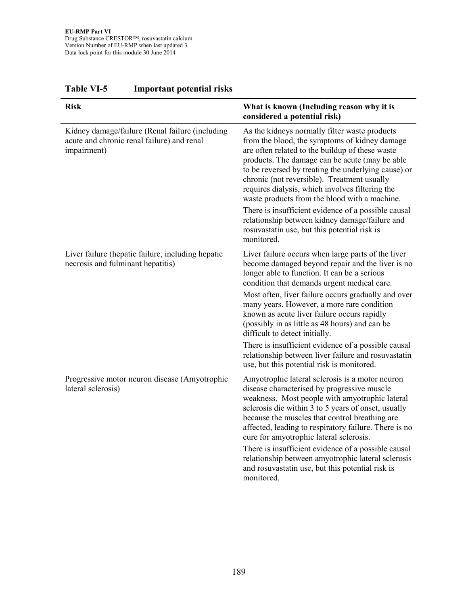| <b>Risk</b>                                                                                                  | What is known (Including reason why it is<br>considered a potential risk)                                                                                                                                                                                                                                                                                                                                     |
|--------------------------------------------------------------------------------------------------------------|---------------------------------------------------------------------------------------------------------------------------------------------------------------------------------------------------------------------------------------------------------------------------------------------------------------------------------------------------------------------------------------------------------------|
| Kidney damage/failure (Renal failure (including<br>acute and chronic renal failure) and renal<br>impairment) | As the kidneys normally filter waste products<br>from the blood, the symptoms of kidney damage<br>are often related to the buildup of these waste<br>products. The damage can be acute (may be able<br>to be reversed by treating the underlying cause) or<br>chronic (not reversible). Treatment usually<br>requires dialysis, which involves filtering the<br>waste products from the blood with a machine. |
|                                                                                                              | There is insufficient evidence of a possible causal<br>relationship between kidney damage/failure and<br>rosuvastatin use, but this potential risk is<br>monitored.                                                                                                                                                                                                                                           |
| Liver failure (hepatic failure, including hepatic<br>necrosis and fulminant hepatitis)                       | Liver failure occurs when large parts of the liver<br>become damaged beyond repair and the liver is no<br>longer able to function. It can be a serious<br>condition that demands urgent medical care.                                                                                                                                                                                                         |
|                                                                                                              | Most often, liver failure occurs gradually and over<br>many years. However, a more rare condition<br>known as acute liver failure occurs rapidly<br>(possibly in as little as 48 hours) and can be<br>difficult to detect initially.                                                                                                                                                                          |
|                                                                                                              | There is insufficient evidence of a possible causal<br>relationship between liver failure and rosuvastatin<br>use, but this potential risk is monitored.                                                                                                                                                                                                                                                      |
| Progressive motor neuron disease (Amyotrophic<br>lateral sclerosis)                                          | Amyotrophic lateral sclerosis is a motor neuron<br>disease characterised by progressive muscle<br>weakness. Most people with amyotrophic lateral<br>sclerosis die within 3 to 5 years of onset, usually<br>because the muscles that control breathing are<br>affected, leading to respiratory failure. There is no<br>cure for amyotrophic lateral sclerosis.                                                 |
|                                                                                                              | There is insufficient evidence of a possible causal<br>relationship between amyotrophic lateral sclerosis<br>and rosuvastatin use, but this potential risk is<br>monitored.                                                                                                                                                                                                                                   |

## **Table VI-5 Important potential risks**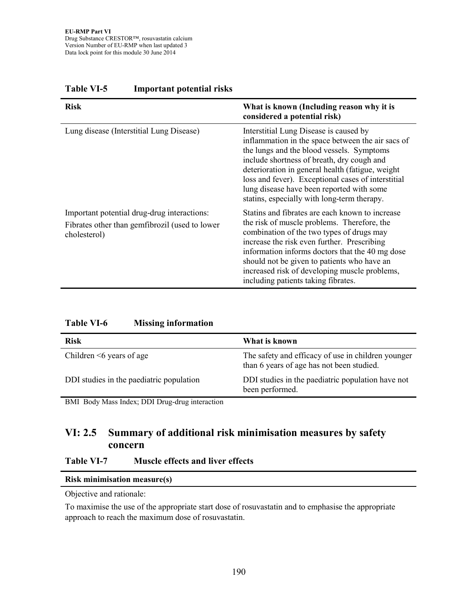| <b>Risk</b>                                                                                                   | What is known (Including reason why it is<br>considered a potential risk)                                                                                                                                                                                                                                                                                                                     |
|---------------------------------------------------------------------------------------------------------------|-----------------------------------------------------------------------------------------------------------------------------------------------------------------------------------------------------------------------------------------------------------------------------------------------------------------------------------------------------------------------------------------------|
| Lung disease (Interstitial Lung Disease)                                                                      | Interstitial Lung Disease is caused by<br>inflammation in the space between the air sacs of<br>the lungs and the blood vessels. Symptoms<br>include shortness of breath, dry cough and<br>deterioration in general health (fatigue, weight)<br>loss and fever). Exceptional cases of interstitial<br>lung disease have been reported with some<br>stating, especially with long-term therapy. |
| Important potential drug-drug interactions:<br>Fibrates other than gemfibrozil (used to lower<br>cholesterol) | Statins and fibrates are each known to increase<br>the risk of muscle problems. Therefore, the<br>combination of the two types of drugs may<br>increase the risk even further. Prescribing<br>information informs doctors that the 40 mg dose<br>should not be given to patients who have an<br>increased risk of developing muscle problems,<br>including patients taking fibrates.          |

#### **Table VI-5 Important potential risks**

| <b>Table VI-6</b> |  | <b>Missing information</b> |
|-------------------|--|----------------------------|
|-------------------|--|----------------------------|

| <b>Risk</b>                              | What is known                                                                                   |
|------------------------------------------|-------------------------------------------------------------------------------------------------|
| Children $\leq 6$ years of age           | The safety and efficacy of use in children younger<br>than 6 years of age has not been studied. |
| DDI studies in the paediatric population | DDI studies in the paediatric population have not<br>been performed.                            |

BMI Body Mass Index; DDI Drug-drug interaction

## **VI: 2.5 Summary of additional risk minimisation measures by safety concern**

#### **Table VI-7 Muscle effects and liver effects**

|  |  | <b>Risk minimisation measure(s)</b> |  |
|--|--|-------------------------------------|--|
|  |  |                                     |  |

Objective and rationale:

To maximise the use of the appropriate start dose of rosuvastatin and to emphasise the appropriate approach to reach the maximum dose of rosuvastatin.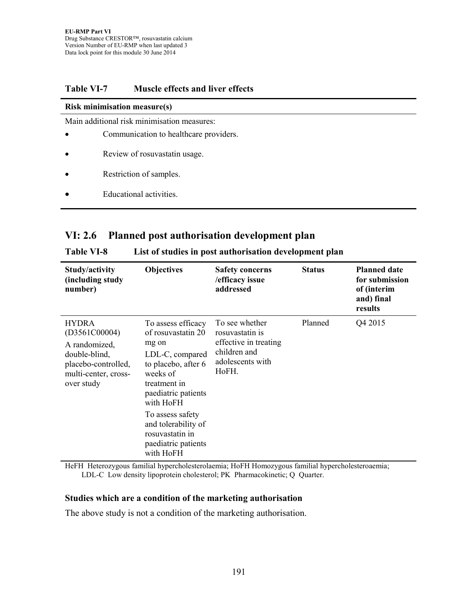#### **Table VI-7 Muscle effects and liver effects**

#### **Risk minimisation measure(s)**

Main additional risk minimisation measures:

- Communication to healthcare providers.
- Review of rosuvastatin usage.
- Restriction of samples.
- Educational activities.

#### **VI: 2.6 Planned post authorisation development plan**

| Study/activity<br>(including study<br>number)                                                                                | <b>Objectives</b>                                                                                                                                                                                                                                             | <b>Safety concerns</b><br>/efficacy issue<br>addressed                                                  | <b>Status</b> | <b>Planned date</b><br>for submission<br>of (interim<br>and) final<br>results |
|------------------------------------------------------------------------------------------------------------------------------|---------------------------------------------------------------------------------------------------------------------------------------------------------------------------------------------------------------------------------------------------------------|---------------------------------------------------------------------------------------------------------|---------------|-------------------------------------------------------------------------------|
| <b>HYDRA</b><br>(D3561C00004)<br>A randomized,<br>double-blind,<br>placebo-controlled,<br>multi-center, cross-<br>over study | To assess efficacy<br>of rosuvastatin 20<br>mg on<br>LDL-C, compared<br>to placebo, after 6<br>weeks of<br>treatment in<br>paediatric patients<br>with HoFH<br>To assess safety<br>and tolerability of<br>rosuvastatin in<br>paediatric patients<br>with HoFH | To see whether<br>rosuvastatin is<br>effective in treating<br>children and<br>adolescents with<br>HoFH. | Planned       | Q4 2015                                                                       |

#### **Table VI-8 List of studies in post authorisation development plan**

HeFH Heterozygous familial hypercholesterolaemia; HoFH Homozygous familial hypercholesteroaemia; LDL-C Low density lipoprotein cholesterol; PK Pharmacokinetic; Q Quarter.

#### **Studies which are a condition of the marketing authorisation**

The above study is not a condition of the marketing authorisation.